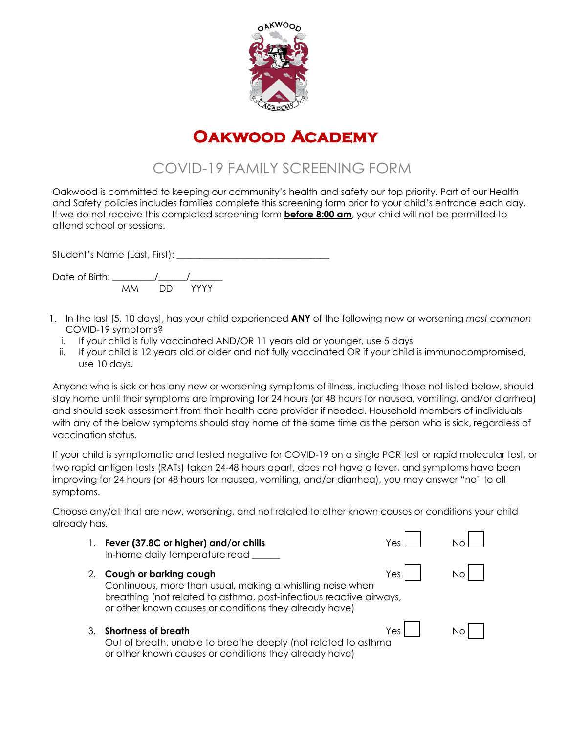

# **Oakwood Academy**

# COVID-19 FAMILY SCREENING FORM

Oakwood is committed to keeping our community's health and safety our top priority. Part of our Health and Safety policies includes families complete this screening form prior to your child's entrance each day. If we do not receive this completed screening form **before 8:00 am**, your child will not be permitted to attend school or sessions.

Student's Name (Last, First): \_\_\_\_\_\_\_\_\_\_\_\_\_\_\_\_\_\_\_\_\_\_\_\_\_\_\_\_\_\_\_\_\_

Date of Birth:  $\frac{1}{M}$  $M_{\rm M}$ 

- 1. In the last [5, 10 days], has your child experienced **ANY** of the following new or worsening *most common*  COVID-19 symptoms?
	- i. If your child is fully vaccinated AND/OR 11 years old or younger, use 5 days
	- ii. If your child is 12 years old or older and not fully vaccinated OR if your child is immunocompromised, use 10 days.

Anyone who is sick or has any new or worsening symptoms of illness, including those not listed below, should stay home until their symptoms are improving for 24 hours (or 48 hours for nausea, vomiting, and/or diarrhea) and should seek assessment from their health care provider if needed. Household members of individuals with any of the below symptoms should stay home at the same time as the person who is sick, regardless of vaccination status.

If your child is symptomatic and tested negative for COVID-19 on a single PCR test or rapid molecular test, or two rapid antigen tests (RATs) taken 24-48 hours apart, does not have a fever, and symptoms have been improving for 24 hours (or 48 hours for nausea, vomiting, and/or diarrhea), you may answer "no" to all symptoms.

Choose any/all that are new, worsening, and not related to other known causes or conditions your child already has.  $\blacksquare$  $\blacksquare$ 

| 1. | Fever (37.8C or higher) and/or chills<br>In-home daily temperature read                                                                                                                                               | Yes   |  |
|----|-----------------------------------------------------------------------------------------------------------------------------------------------------------------------------------------------------------------------|-------|--|
| 2. | Cough or barking cough<br>Continuous, more than usual, making a whistling noise when<br>breathing (not related to asthma, post-infectious reactive airways,<br>or other known causes or conditions they already have) | Yes I |  |
| 3. | <b>Shortness of breath</b><br>Out of breath, unable to breathe deeply (not related to asthma<br>or other known causes or conditions they already have)                                                                | Yes   |  |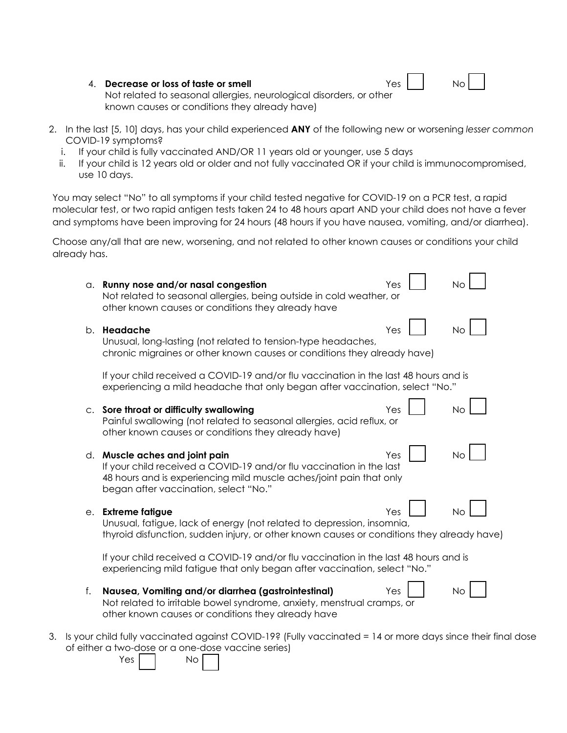| 4. Decrease or loss of taste or smell | Yes | No. |
|---------------------------------------|-----|-----|
|---------------------------------------|-----|-----|

| Νo |
|----|
|----|

Not related to seasonal allergies, neurological disorders, or other known causes or conditions they already have)

- 2. In the last [5, 10] days, has your child experienced **ANY** of the following new or worsening *lesser common*  COVID-19 symptoms?
	- i. If your child is fully vaccinated AND/OR 11 years old or younger, use 5 days
	- ii. If your child is 12 years old or older and not fully vaccinated OR if your child is immunocompromised, use 10 days.

You may select "No" to all symptoms if your child tested negative for COVID-19 on a PCR test, a rapid molecular test, or two rapid antigen tests taken 24 to 48 hours apart AND your child does not have a fever and symptoms have been improving for 24 hours (48 hours if you have nausea, vomiting, and/or diarrhea).

Choose any/all that are new, worsening, and not related to other known causes or conditions your child already has.

|                | Yes<br>a. Runny nose and/or nasal congestion<br><b>No</b><br>Not related to seasonal allergies, being outside in cold weather, or<br>other known causes or conditions they already have                                                 |
|----------------|-----------------------------------------------------------------------------------------------------------------------------------------------------------------------------------------------------------------------------------------|
|                | Yes<br>b. <b>Headache</b><br><b>No</b><br>Unusual, long-lasting (not related to tension-type headaches,<br>chronic migraines or other known causes or conditions they already have)                                                     |
|                | If your child received a COVID-19 and/or flu vaccination in the last 48 hours and is<br>experiencing a mild headache that only began after vaccination, select "No."                                                                    |
| C <sub>1</sub> | Sore throat or difficulty swallowing<br>Yes<br>Nο<br>Painful swallowing (not related to seasonal allergies, acid reflux, or<br>other known causes or conditions they already have)                                                      |
| d.             | Muscle aches and joint pain<br><b>No</b><br>Yes<br>If your child received a COVID-19 and/or flu vaccination in the last<br>48 hours and is experiencing mild muscle aches/joint pain that only<br>began after vaccination, select "No." |
| е.             | No<br><b>Extreme fatigue</b><br>Yes<br>Unusual, fatigue, lack of energy (not related to depression, insomnia,<br>thyroid disfunction, sudden injury, or other known causes or conditions they already have)                             |
|                | If your child received a COVID-19 and/or flu vaccination in the last 48 hours and is<br>experiencing mild fatigue that only began after vaccination, select "No."                                                                       |
| f.             | Nausea, Vomiting and/or diarrhea (gastrointestinal)<br>Yes<br>Νo<br>Not related to irritable bowel syndrome, anxiety, menstrual cramps, or<br>other known causes or conditions they already have                                        |

3. Is your child fully vaccinated against COVID-19? (Fully vaccinated = 14 or more days since their final dose of either a two-dose or a one-dose vaccine series)

Yes I I No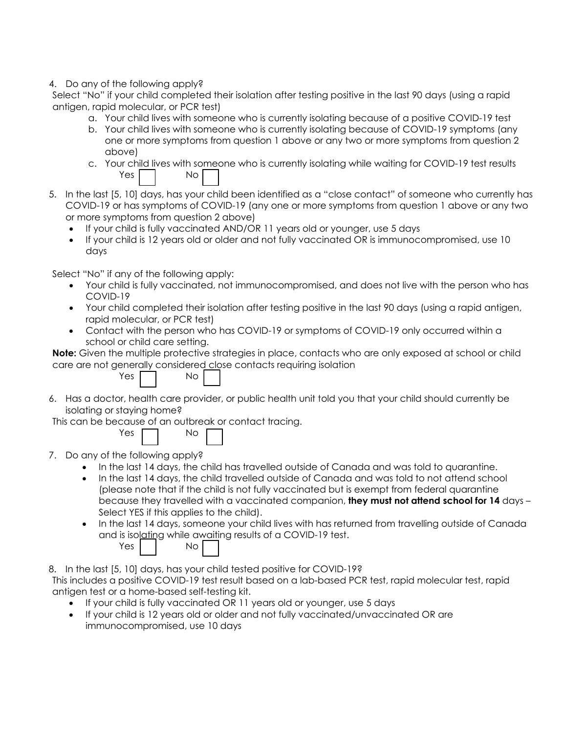## 4. Do any of the following apply?

Select "No" if your child completed their isolation after testing positive in the last 90 days (using a rapid antigen, rapid molecular, or PCR test)

- a. Your child lives with someone who is currently isolating because of a positive COVID-19 test
- b. Your child lives with someone who is currently isolating because of COVID-19 symptoms (any one or more symptoms from question 1 above or any two or more symptoms from question 2 above)
- c. Your child lives with someone who is currently isolating while waiting for COVID-19 test results Yes | No |
- 5. In the last [5, 10] days, has your child been identified as a "close contact" of someone who currently has COVID-19 or has symptoms of COVID-19 (any one or more symptoms from question 1 above or any two or more symptoms from question 2 above)
	- If your child is fully vaccinated AND/OR 11 years old or younger, use 5 days
	- If your child is 12 years old or older and not fully vaccinated OR is immunocompromised, use 10 days

Select "No" if any of the following apply:

- Your child is fully vaccinated, not immunocompromised, and does not live with the person who has COVID-19
- Your child completed their isolation after testing positive in the last 90 days (using a rapid antigen, rapid molecular, or PCR test)
- Contact with the person who has COVID-19 or symptoms of COVID-19 only occurred within a school or child care setting.

**Note:** Given the multiple protective strategies in place, contacts who are only exposed at school or child care are not generally considered close contacts requiring isolation

|  |  |  | Nο |  |  |
|--|--|--|----|--|--|
|  |  |  |    |  |  |

6. Has a doctor, health care provider, or public health unit told you that your child should currently be isolating or staying home?

This can be because of an outbreak or contact tracing.

| Yes |  | Nο |
|-----|--|----|
|     |  |    |

7. Do any of the following apply?

 $Yes$ 

- In the last 14 days, the child has travelled outside of Canada and was told to quarantine.
- In the last 14 days, the child travelled outside of Canada and was told to not attend school (please note that if the child is not fully vaccinated but is exempt from federal quarantine because they travelled with a vaccinated companion, **they must not attend school for 14** days – Select YES if this applies to the child).
- In the last 14 days, someone your child lives with has returned from travelling outside of Canada and is isolating while awaiting results of a COVID-19 test.

| Yes. | Nο |  |
|------|----|--|
|      |    |  |

8. In the last [5, 10] days, has your child tested positive for COVID-19?

This includes a positive COVID-19 test result based on a lab-based PCR test, rapid molecular test, rapid antigen test or a home-based self-testing kit.

- If your child is fully vaccinated OR 11 years old or younger, use 5 days
- If your child is 12 years old or older and not fully vaccinated/unvaccinated OR are immunocompromised, use 10 days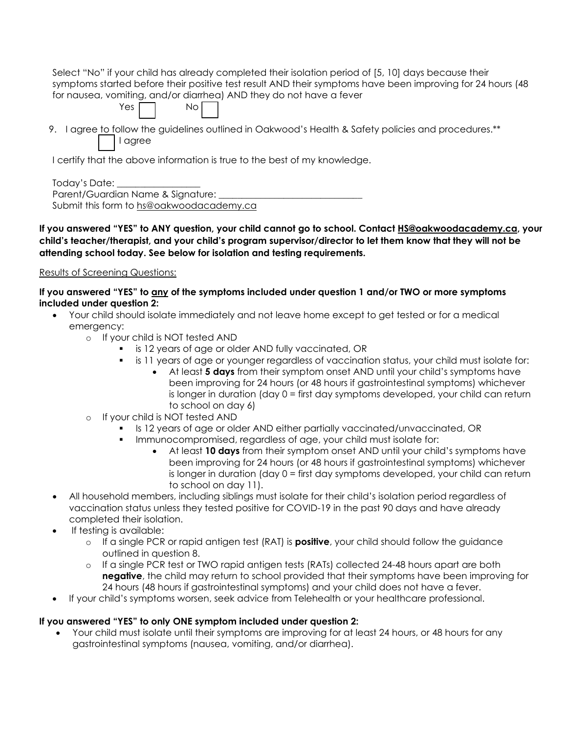| Select "No" if your child has already completed their isolation period of [5, 10] days because their       |
|------------------------------------------------------------------------------------------------------------|
| symptoms started before their positive test result AND their symptoms have been improving for 24 hours (48 |
| for nausea, vomiting, and/or diarrhea) AND they do not have a fever                                        |
| $Yes \frown \qquad No \frown$                                                                              |
| 9. I agree to follow the guidelines outlined in Oakwood's Health & Safety policies and procedures.**       |
| agree                                                                                                      |

I certify that the above information is true to the best of my knowledge.

Today's Date: \_\_\_\_\_\_\_\_\_\_\_\_\_\_\_\_\_\_

Parent/Guardian Name & Signature: Submit this form to [hs@oakwoodacademy.ca](mailto:hs@oakwoodacademy.ca)

**If you answered "YES" to ANY question, your child cannot go to school. Contact [HS@oakwoodacademy.ca,](mailto:HS@oakwoodacademy.ca) your child's teacher/therapist, and your child's program supervisor/director to let them know that they will not be attending school today. See below for isolation and testing requirements.**

# Results of Screening Questions:

**If you answered "YES" to any of the symptoms included under question 1 and/or TWO or more symptoms included under question 2:**

- Your child should isolate immediately and not leave home except to get tested or for a medical emergency:
	- o If your child is NOT tested AND
		- **is 12 years of age or older AND fully vaccinated, OR** 
			- is 11 years of age or younger regardless of vaccination status, your child must isolate for:
				- At least **5 days** from their symptom onset AND until your child's symptoms have been improving for 24 hours (or 48 hours if gastrointestinal symptoms) whichever is longer in duration (day 0 = first day symptoms developed, your child can return to school on day 6)
	- o If your child is NOT tested AND
		- Is 12 years of age or older AND either partially vaccinated/unvaccinated, OR
			- Immunocompromised, regardless of age, your child must isolate for:
				- At least **10 days** from their symptom onset AND until your child's symptoms have been improving for 24 hours (or 48 hours if gastrointestinal symptoms) whichever is longer in duration (day 0 = first day symptoms developed, your child can return to school on day 11).
- All household members, including siblings must isolate for their child's isolation period regardless of vaccination status unless they tested positive for COVID-19 in the past 90 days and have already completed their isolation.
- If testing is available:
	- o If a single PCR or rapid antigen test (RAT) is **positive**, your child should follow the guidance outlined in question 8.
	- o If a single PCR test or TWO rapid antigen tests (RATs) collected 24-48 hours apart are both **negative**, the child may return to school provided that their symptoms have been improving for 24 hours (48 hours if gastrointestinal symptoms) and your child does not have a fever.
- If your child's symptoms worsen, seek advice from Telehealth or your healthcare professional.

# **If you answered "YES" to only ONE symptom included under question 2:**

• Your child must isolate until their symptoms are improving for at least 24 hours, or 48 hours for any gastrointestinal symptoms (nausea, vomiting, and/or diarrhea).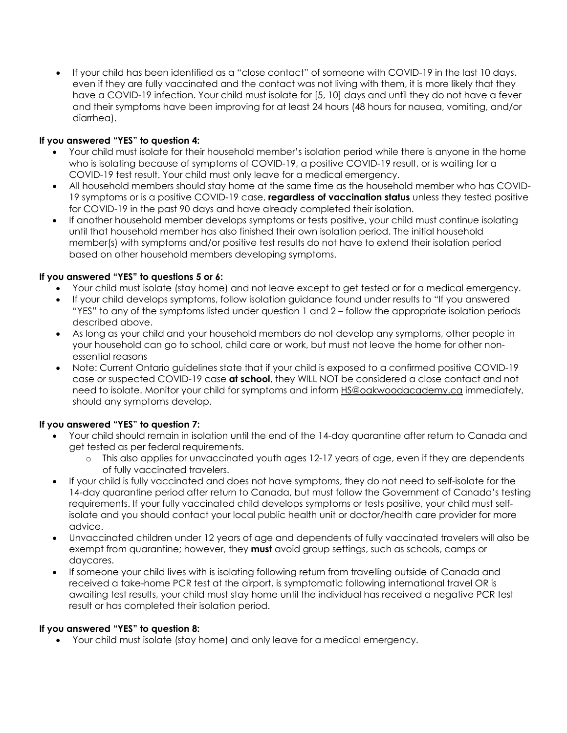• If your child has been identified as a "close contact" of someone with COVID-19 in the last 10 days, even if they are fully vaccinated and the contact was not living with them, it is more likely that they have a COVID-19 infection. Your child must isolate for [5, 10] days and until they do not have a fever and their symptoms have been improving for at least 24 hours (48 hours for nausea, vomiting, and/or diarrhea).

## **If you answered "YES" to question 4:**

- Your child must isolate for their household member's isolation period while there is anyone in the home who is isolating because of symptoms of COVID-19, a positive COVID-19 result, or is waiting for a COVID-19 test result. Your child must only leave for a medical emergency.
- All household members should stay home at the same time as the household member who has COVID-19 symptoms or is a positive COVID-19 case, **regardless of vaccination status** unless they tested positive for COVID-19 in the past 90 days and have already completed their isolation.
- If another household member develops symptoms or tests positive, your child must continue isolating until that household member has also finished their own isolation period. The initial household member(s) with symptoms and/or positive test results do not have to extend their isolation period based on other household members developing symptoms.

#### **If you answered "YES" to questions 5 or 6:**

- Your child must isolate (stay home) and not leave except to get tested or for a medical emergency.
- If your child develops symptoms, follow isolation guidance found under results to "If you answered "YES" to any of the symptoms listed under question 1 and 2 – follow the appropriate isolation periods described above.
- As long as your child and your household members do not develop any symptoms, other people in your household can go to school, child care or work, but must not leave the home for other nonessential reasons
- Note: Current Ontario guidelines state that if your child is exposed to a confirmed positive COVID-19 case or suspected COVID-19 case **at school**, they WILL NOT be considered a close contact and not need to isolate. Monitor your child for symptoms and inform [HS@oakwoodacademy.ca](mailto:HS@oakwoodacademy.ca) immediately, should any symptoms develop.

# **If you answered "YES" to question 7:**

- Your child should remain in isolation until the end of the 14-day quarantine after return to Canada and get tested as per federal requirements.
	- o This also applies for unvaccinated youth ages 12-17 years of age, even if they are dependents of fully vaccinated travelers.
- If your child is fully vaccinated and does not have symptoms, they do not need to self-isolate for the 14-day quarantine period after return to Canada, but must follow the Government of Canada's testing requirements. If your fully vaccinated child develops symptoms or tests positive, your child must selfisolate and you should contact your local public health unit or doctor/health care provider for more advice.
- Unvaccinated children under 12 years of age and dependents of fully vaccinated travelers will also be exempt from quarantine; however, they **must** avoid group settings, such as schools, camps or daycares.
- If someone your child lives with is isolating following return from travelling outside of Canada and received a take-home PCR test at the airport, is symptomatic following international travel OR is awaiting test results, your child must stay home until the individual has received a negative PCR test result or has completed their isolation period.

#### **If you answered "YES" to question 8:**

• Your child must isolate (stay home) and only leave for a medical emergency.